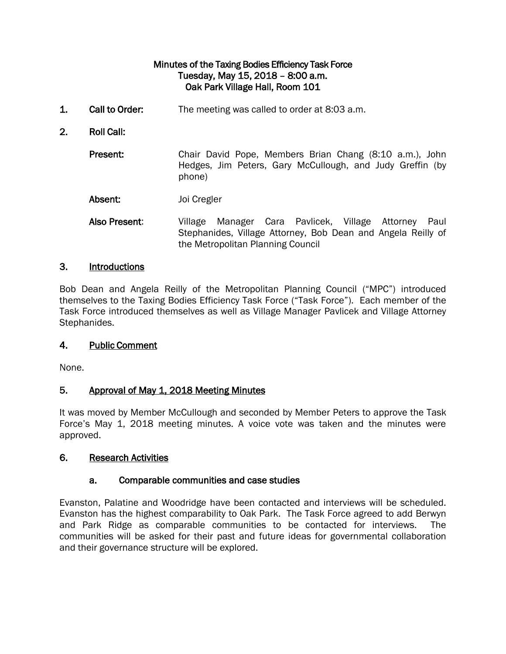### Minutes of the Taxing Bodies Efficiency Task Force Tuesday, May 15, 2018 – 8:00 a.m. Oak Park Village Hall, Room 101

- 1. Call to Order: The meeting was called to order at 8:03 a.m.
- 2. Roll Call:

Present: Chair David Pope, Members Brian Chang (8:10 a.m.), John Hedges, Jim Peters, Gary McCullough, and Judy Greffin (by phone)

- Absent: Joi Cregler
- Also Present: Village Manager Cara Pavlicek, Village Attorney Paul Stephanides, Village Attorney, Bob Dean and Angela Reilly of the Metropolitan Planning Council

#### 3. Introductions

Bob Dean and Angela Reilly of the Metropolitan Planning Council ("MPC") introduced themselves to the Taxing Bodies Efficiency Task Force ("Task Force"). Each member of the Task Force introduced themselves as well as Village Manager Pavlicek and Village Attorney Stephanides.

#### 4. Public Comment

None.

### 5. Approval of May 1, 2018 Meeting Minutes

It was moved by Member McCullough and seconded by Member Peters to approve the Task Force's May 1, 2018 meeting minutes. A voice vote was taken and the minutes were approved.

#### 6. Research Activities

### a. Comparable communities and case studies

Evanston, Palatine and Woodridge have been contacted and interviews will be scheduled. Evanston has the highest comparability to Oak Park. The Task Force agreed to add Berwyn and Park Ridge as comparable communities to be contacted for interviews. The communities will be asked for their past and future ideas for governmental collaboration and their governance structure will be explored.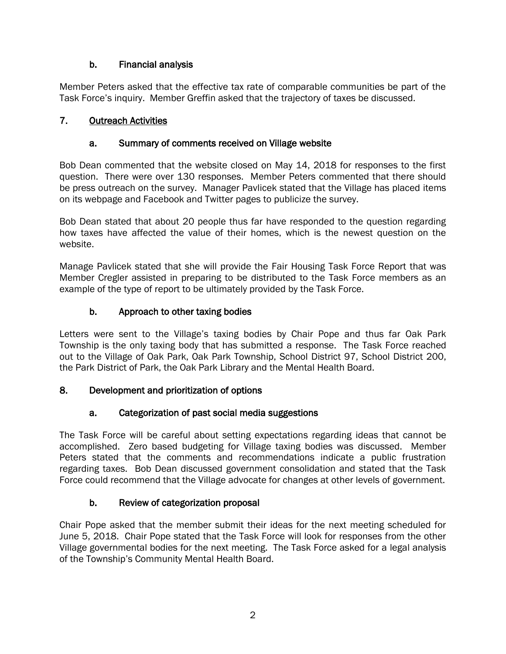# b. Financial analysis

Member Peters asked that the effective tax rate of comparable communities be part of the Task Force's inquiry. Member Greffin asked that the trajectory of taxes be discussed.

# 7. Outreach Activities

## a. Summary of comments received on Village website

Bob Dean commented that the website closed on May 14, 2018 for responses to the first question. There were over 130 responses. Member Peters commented that there should be press outreach on the survey. Manager Pavlicek stated that the Village has placed items on its webpage and Facebook and Twitter pages to publicize the survey.

Bob Dean stated that about 20 people thus far have responded to the question regarding how taxes have affected the value of their homes, which is the newest question on the website.

Manage Pavlicek stated that she will provide the Fair Housing Task Force Report that was Member Cregler assisted in preparing to be distributed to the Task Force members as an example of the type of report to be ultimately provided by the Task Force.

## b. Approach to other taxing bodies

Letters were sent to the Village's taxing bodies by Chair Pope and thus far Oak Park Township is the only taxing body that has submitted a response. The Task Force reached out to the Village of Oak Park, Oak Park Township, School District 97, School District 200, the Park District of Park, the Oak Park Library and the Mental Health Board.

## 8. Development and prioritization of options

# a. Categorization of past social media suggestions

The Task Force will be careful about setting expectations regarding ideas that cannot be accomplished. Zero based budgeting for Village taxing bodies was discussed. Member Peters stated that the comments and recommendations indicate a public frustration regarding taxes. Bob Dean discussed government consolidation and stated that the Task Force could recommend that the Village advocate for changes at other levels of government.

## b. Review of categorization proposal

Chair Pope asked that the member submit their ideas for the next meeting scheduled for June 5, 2018. Chair Pope stated that the Task Force will look for responses from the other Village governmental bodies for the next meeting. The Task Force asked for a legal analysis of the Township's Community Mental Health Board.